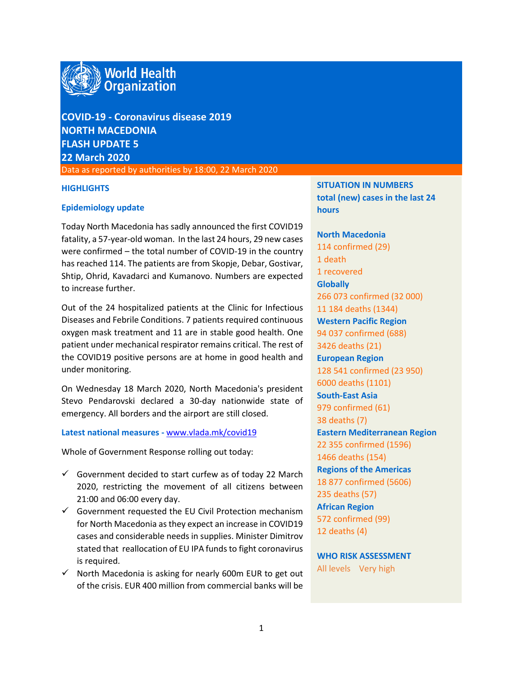

**COVID-19 - Coronavirus disease 2019 NORTH MACEDONIA FLASH UPDATE 5 22 March 2020**

Data as reported by authorities by 18:00, 22 March 2020

#### **HIGHLIGHTS**

#### **Epidemiology update**

Today North Macedonia has sadly announced the first COVID19 fatality, a 57-year-old woman. In the last 24 hours, 29 new cases were confirmed – the total number of COVID-19 in the country has reached 114. The patients are from Skopje, Debar, Gostivar, Shtip, Ohrid, Kavadarci and Kumanovo. Numbers are expected to increase further.

Out of the 24 hospitalized patients at the Clinic for Infectious Diseases and Febrile Conditions. 7 patients required continuous oxygen mask treatment and 11 are in stable good health. One patient under mechanical respirator remains critical. The rest of the COVID19 positive persons are at home in good health and under monitoring.

On Wednesday 18 March 2020, North Macedonia's president Stevo Pendarovski declared a 30-day nationwide state of emergency. All borders and the airport are still closed.

#### **Latest national measures -** [www.vlada.mk/covid19](http://www.vlada.mk/covid19)

Whole of Government Response rolling out today:

- $\checkmark$  Government decided to start curfew as of today 22 March 2020, restricting the movement of all citizens between 21:00 and 06:00 every day.
- $\checkmark$  Government requested the EU Civil Protection mechanism for North Macedonia as they expect an increase in COVID19 cases and considerable needs in supplies. Minister Dimitrov stated that reallocation of EU IPA funds to fight coronavirus is required.
- $\checkmark$  North Macedonia is asking for nearly 600m EUR to get out of the crisis. EUR 400 million from commercial banks will be

**SITUATION IN NUMBERS total (new) cases in the last 24 hours**

**North Macedonia** 114 confirmed (29) 1 death 1 recovered **Globally**  266 073 confirmed (32 000) 11 184 deaths (1344) **Western Pacific Region** 94 037 confirmed (688) 3426 deaths (21) **European Region** 128 541 confirmed (23 950) 6000 deaths (1101) **South-East Asia** 979 confirmed (61) 38 deaths (7) **Eastern Mediterranean Region** 22 355 confirmed (1596) 1466 deaths (154) **Regions of the Americas** 18 877 confirmed (5606) 235 deaths (57) **African Region** 572 confirmed (99) 12 deaths (4)

**WHO RISK ASSESSMENT**  All levels Very high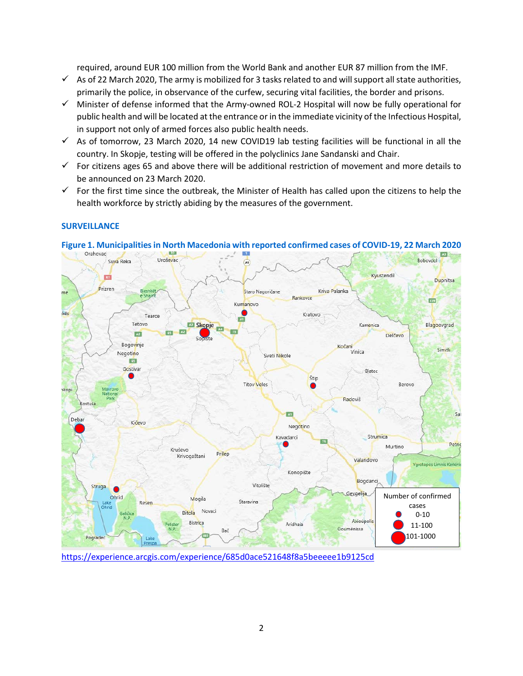required, around EUR 100 million from the World Bank and another EUR 87 million from the IMF.

- $\checkmark$  As of 22 March 2020, The army is mobilized for 3 tasks related to and will support all state authorities, primarily the police, in observance of the curfew, securing vital facilities, the border and prisons.
- $\checkmark$  Minister of defense informed that the Army-owned ROL-2 Hospital will now be fully operational for public health and will be located at the entrance or in the immediate vicinity of the Infectious Hospital, in support not only of armed forces also public health needs.
- $\checkmark$  As of tomorrow, 23 March 2020, 14 new COVID19 lab testing facilities will be functional in all the country. In Skopje, testing will be offered in the polyclinics Jane Sandanski and Chair.
- $\checkmark$  For citizens ages 65 and above there will be additional restriction of movement and more details to be announced on 23 March 2020.
- $\checkmark$  For the first time since the outbreak, the Minister of Health has called upon the citizens to help the health workforce by strictly abiding by the measures of the government.

## **SURVEILLANCE**



# **Figure 1. Municipalitiesin North Macedonia with reported confirmed cases of COVID-19, 22 March 2020**

<https://experience.arcgis.com/experience/685d0ace521648f8a5beeeee1b9125cd>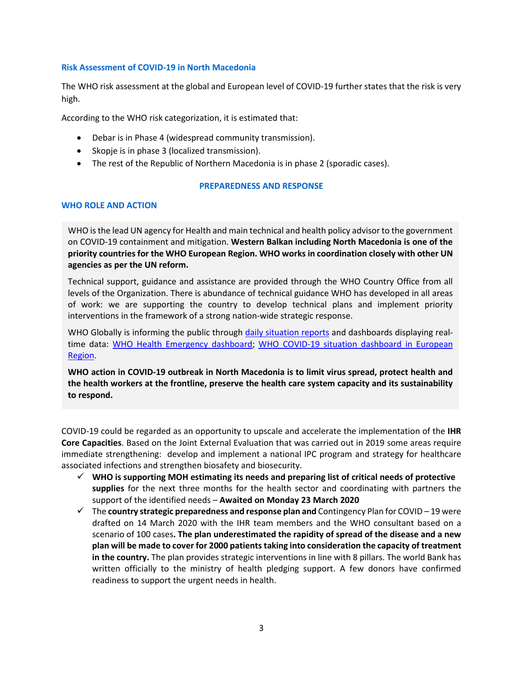#### **Risk Assessment of COVID-19 in North Macedonia**

The WHO risk assessment at the global and European level of COVID-19 further states that the risk is very high.

According to the WHO risk categorization, it is estimated that:

- Debar is in Phase 4 (widespread community transmission).
- Skopje is in phase 3 (localized transmission).
- The rest of the Republic of Northern Macedonia is in phase 2 (sporadic cases).

#### **PREPAREDNESS AND RESPONSE**

## **WHO ROLE AND ACTION**

WHO is the lead UN agency for Health and main technical and health policy advisor to the government on COVID-19 containment and mitigation. **Western Balkan including North Macedonia is one of the priority countries for the WHO European Region. WHO works in coordination closely with other UN agencies as per the UN reform.** 

Technical support, guidance and assistance are provided through the WHO Country Office from all levels of the Organization. There is abundance of technical guidance WHO has developed in all areas of work: we are supporting the country to develop technical plans and implement priority interventions in the framework of a strong nation-wide strategic response.

WHO Globally is informing the public through [daily situation reports](https://www.who.int/emergencies/diseases/novel-coronavirus-2019/situation-reports/) and dashboards displaying real-time data: [WHO Health Emergency dashboard;](https://extranet.who.int/publicemergency) WHO COVID-19 situation dashboard in European [Region.](http://who.maps.arcgis.com/apps/opsdashboard/index.html#/ead3c6475654481ca51c248d52ab9c61)

**WHO action in COVID-19 outbreak in North Macedonia is to limit virus spread, protect health and the health workers at the frontline, preserve the health care system capacity and its sustainability to respond.** 

COVID-19 could be regarded as an opportunity to upscale and accelerate the implementation of the **IHR Core Capacities**. Based on the Joint External Evaluation that was carried out in 2019 some areas require immediate strengthening: develop and implement a national IPC program and strategy for healthcare associated infections and strengthen biosafety and biosecurity.

- **WHO is supporting MOH estimating its needs and preparing list of critical needs of protective supplies** for the next three months for the health sector and coordinating with partners the support of the identified needs – **Awaited on Monday 23 March 2020**
- The **country strategic preparedness and response plan and** Contingency Plan for COVID 19 were drafted on 14 March 2020 with the IHR team members and the WHO consultant based on a scenario of 100 cases**. The plan underestimated the rapidity of spread of the disease and a new plan will be made to cover for 2000 patients taking into consideration the capacity of treatment in the country.** The plan provides strategic interventions in line with 8 pillars. The world Bank has written officially to the ministry of health pledging support. A few donors have confirmed readiness to support the urgent needs in health.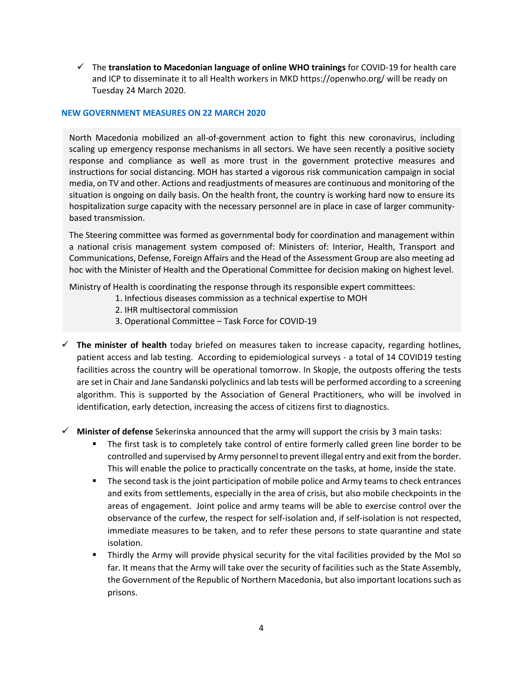The **translation to Macedonian language of online WHO trainings** for COVID-19 for health care and ICP to disseminate it to all Health workers in MKD https://openwho.org/ will be ready on Tuesday 24 March 2020.

#### **NEW GOVERNMENT MEASURES ON 22 MARCH 2020**

North Macedonia mobilized an all-of-government action to fight this new coronavirus, including scaling up emergency response mechanisms in all sectors. We have seen recently a positive society response and compliance as well as more trust in the government protective measures and instructions for social distancing. MOH has started a vigorous risk communication campaign in social media, on TV and other. Actions and readjustments of measures are continuous and monitoring of the situation is ongoing on daily basis. On the health front, the country is working hard now to ensure its hospitalization surge capacity with the necessary personnel are in place in case of larger communitybased transmission.

The Steering committee was formed as governmental body for coordination and management within a national crisis management system composed of: Ministers of: Interior, Health, Transport and Communications, Defense, Foreign Affairs and the Head of the Assessment Group are also meeting ad hoc with the Minister of Health and the Operational Committee for decision making on highest level.

Ministry of Health is coordinating the response through its responsible expert committees:

- 1. Infectious diseases commission as a technical expertise to MOH
- 2. IHR multisectoral commission
- 3. Operational Committee Task Force for COVID-19
- **The minister of health** today briefed on measures taken to increase capacity, regarding hotlines, patient access and lab testing. According to epidemiological surveys - a total of 14 COVID19 testing facilities across the country will be operational tomorrow. In Skopje, the outposts offering the tests are set in Chair and Jane Sandanski polyclinics and lab tests will be performed according to a screening algorithm. This is supported by the Association of General Practitioners, who will be involved in identification, early detection, increasing the access of citizens first to diagnostics.
- **Minister of defense** Sekerinska announced that the army will support the crisis by 3 main tasks:
	- The first task is to completely take control of entire formerly called green line border to be controlled and supervised by Army personnel to prevent illegal entry and exit from the border. This will enable the police to practically concentrate on the tasks, at home, inside the state.
	- **The second task is the joint participation of mobile police and Army teams to check entrances** and exits from settlements, especially in the area of crisis, but also mobile checkpoints in the areas of engagement. Joint police and army teams will be able to exercise control over the observance of the curfew, the respect for self-isolation and, if self-isolation is not respected, immediate measures to be taken, and to refer these persons to state quarantine and state isolation.
	- Thirdly the Army will provide physical security for the vital facilities provided by the MoI so far. It means that the Army will take over the security of facilities such as the State Assembly, the Government of the Republic of Northern Macedonia, but also important locations such as prisons.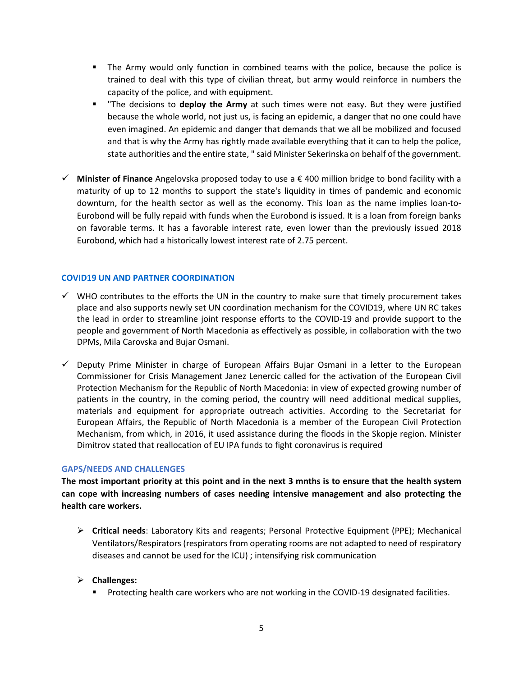- The Army would only function in combined teams with the police, because the police is trained to deal with this type of civilian threat, but army would reinforce in numbers the capacity of the police, and with equipment.
- "The decisions to **deploy the Army** at such times were not easy. But they were justified because the whole world, not just us, is facing an epidemic, a danger that no one could have even imagined. An epidemic and danger that demands that we all be mobilized and focused and that is why the Army has rightly made available everything that it can to help the police, state authorities and the entire state, " said Minister Sekerinska on behalf of the government.
- **Minister of Finance** Angelovska proposed today to use a € 400 million bridge to bond facility with a maturity of up to 12 months to support the state's liquidity in times of pandemic and economic downturn, for the health sector as well as the economy. This loan as the name implies loan-to-Eurobond will be fully repaid with funds when the Eurobond is issued. It is a loan from foreign banks on favorable terms. It has a favorable interest rate, even lower than the previously issued 2018 Eurobond, which had a historically lowest interest rate of 2.75 percent.

## **COVID19 UN AND PARTNER COORDINATION**

- $\checkmark$  WHO contributes to the efforts the UN in the country to make sure that timely procurement takes place and also supports newly set UN coordination mechanism for the COVID19, where UN RC takes the lead in order to streamline joint response efforts to the COVID-19 and provide support to the people and government of North Macedonia as effectively as possible, in collaboration with the two DPMs, Mila Carovska and Bujar Osmani.
- $\checkmark$  Deputy Prime Minister in charge of European Affairs Bujar Osmani in a letter to the European Commissioner for Crisis Management Janez Lenercic called for the activation of the European Civil Protection Mechanism for the Republic of North Macedonia: in view of expected growing number of patients in the country, in the coming period, the country will need additional medical supplies, materials and equipment for appropriate outreach activities. According to the Secretariat for European Affairs, the Republic of North Macedonia is a member of the European Civil Protection Mechanism, from which, in 2016, it used assistance during the floods in the Skopje region. Minister Dimitrov stated that reallocation of EU IPA funds to fight coronavirus is required

#### **GAPS/NEEDS AND CHALLENGES**

**The most important priority at this point and in the next 3 mnths is to ensure that the health system can cope with increasing numbers of cases needing intensive management and also protecting the health care workers.** 

 **Critical needs**: Laboratory Kits and reagents; Personal Protective Equipment (PPE); Mechanical Ventilators/Respirators (respirators from operating rooms are not adapted to need of respiratory diseases and cannot be used for the ICU) ; intensifying risk communication

## **Challenges:**

**Protecting health care workers who are not working in the COVID-19 designated facilities.**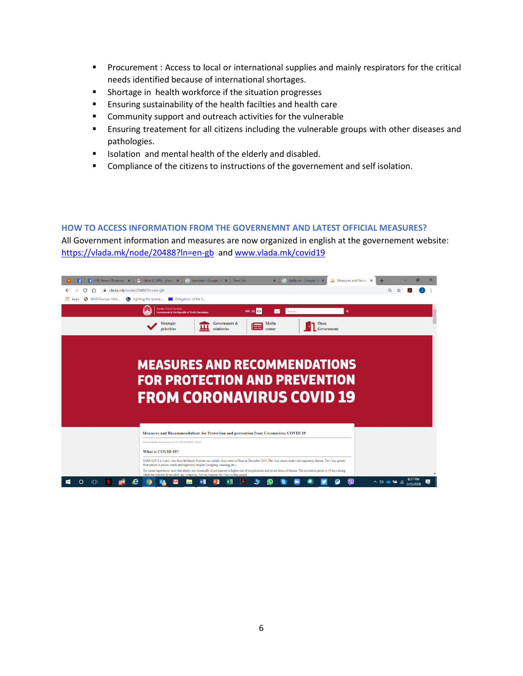- **Procurement : Access to local or international supplies and mainly respirators for the critical** needs identified because of international shortages.
- **Shortage in health workforce if the situation progresses**
- Ensuring sustainability of the health facilties and health care
- **EXTER** Community support and outreach activities for the vulnerable
- Ensuring treatement for all citizens including the vulnerable groups with other diseases and pathologies.
- **ISOLATE:** Isolation and mental health of the elderly and disabled.
- **Compliance of the citizens to instructions of the governement and self isolation.**

#### **HOW TO ACCESS INFORMATION FROM THE GOVERNEMNT AND LATEST OFFICIAL MEASURES?**

All Government information and measures are now organized in english at the governement website: <https://vlada.mk/node/20488?ln=en-gb> and [www.vlada.mk/covid19](http://www.vlada.mk/covid19)

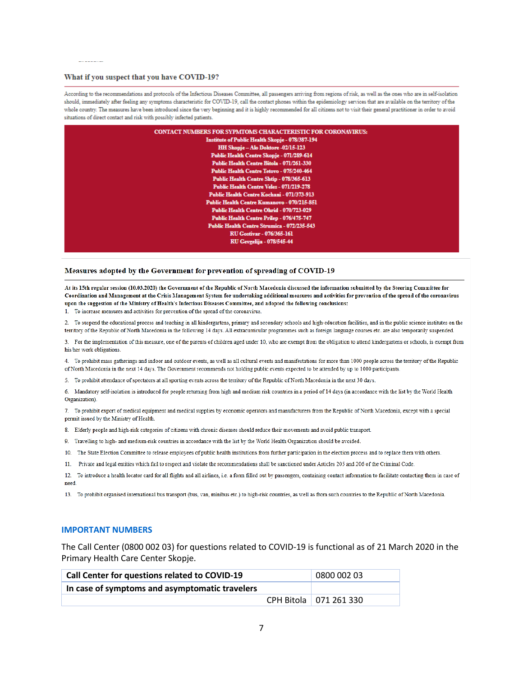#### What if you suspect that you have COVID-19?

According to the recommendations and protocols of the Infectious Diseases Committee, all passengers arriving from regions of risk, as well as the ones who are in self-isolation should, immediately after feeling any symptoms characteristic for COVID-19, call the contact phones within the epidemiology services that are available on the territory of the whole country. The measures have been introduced since the very beginning and it is highly recommended for all citizens not to visit their general practitioner in order to avoid situations of direct contact and risk with possibly infected patients.

| <b>CONTACT NUMBERS FOR SYPMTOMS CHARACTERISTIC FOR CORONAVIRUS:</b> |
|---------------------------------------------------------------------|
| <b>Institute of Public Health Skopje - 078/387-194</b>              |
| HH Skopje - Alo Doktore -02/15-123                                  |
| Public Health Centre Skopje - 071/289-614                           |
| Public Health Centre Bitola - 071/261-330                           |
| Public Health Centre Tetovo - 075/240-464                           |
| Public Health Centre Shtip - 078/365-613                            |
| Public Health Centre Veles - 071/219-278                            |
| Public Health Centre Kochani - 071/373-913                          |
| <b>Public Health Centre Kumanovo - 070/215-851</b>                  |
| Public Health Centre Ohrid - 070/723-029                            |
| Public Health Centre Prilep - 076/475-747                           |
| Public Health Centre Strumica - 072/235-543                         |
| <b>RU Gostivar - 076/365-161</b>                                    |
| <b>RU Gevgelija - 078/545-44</b>                                    |
|                                                                     |

#### Measures adopted by the Government for prevention of spreading of COVID-19

At its 15th regular session (10.03.2020) the Government of the Republic of North Macedonia discussed the information submitted by the Steering Committee for Coordination and Management at the Crisis Management System for undertaking additional measures and activities for prevention of the spread of the coronavirus upon the suggestion of the Ministry of Health's Infectious Diseases Committee, and adopted the following conclusions:

1. To increase measures and activities for prevention of the spread of the coronavirus.

2. To suspend the educational process and teaching in all kindergartens, primary and secondary schools and high-education facilities, and in the public science institutes on the territory of the Republic of North Macedonia in the following 14 days. All extracurricular programmes such as foreign language courses etc. are also temporarily suspended.

3. For the implementation of this measure, one of the parents of children aged under 10, who are exempt from the obligation to attend kindergartens or schools, is exempt from his/her work obligations.

4. To prohibit mass gatherings and indoor and outdoor events, as well as all cultural events and manifestations for more than 1000 people across the territory of the Republic of North Macedonia in the next 14 days. The Government recommends not holding public events expected to be attended by up to 1000 participants.

5. To prohibit attendance of spectators at all sporting events across the territory of the Republic of North Macedonia in the next 30 days.

6. Mandatory self-isolation is introduced for people returning from high and medium risk countries in a period of 14 days (in accordance with the list by the World Health Organization).

7. To prohibit export of medical equipment and medical supplies by economic operators and manufacturers from the Republic of North Macedonia, except with a special permit issued by the Ministry of Health.

8. Elderly people and high-risk categories of citizens with chronic diseases should reduce their movements and avoid public transport.

9. Travelling to high- and medium-risk countries in accordance with the list by the World Health Organization should be avoided.

10. The State Election Committee to release employees of public health institutions from further participation in the election process and to replace them with others.

11. Private and legal entities which fail to respect and violate the recommendations shall be sanctioned under Articles 205 and 206 of the Criminal Code.

12. To introduce a health locator card for all flights and all airlines, i.e. a form filled out by passengers, containing contact information to facilitate contacting them in case of need.

13. To prohibit organised international bus transport (bus, van, minibus etc.) to high-risk countries, as well as from such countries to the Republic of North Macedonia.

#### **IMPORTANT NUMBERS**

The Call Center (0800 002 03) for questions related to COVID-19 is functional as of 21 March 2020 in the Primary Health Care Center Skopje.

| Call Center for questions related to COVID-19  | 0800 002 03 |                          |
|------------------------------------------------|-------------|--------------------------|
| In case of symptoms and asymptomatic travelers |             |                          |
|                                                |             | CPH Bitola   071 261 330 |